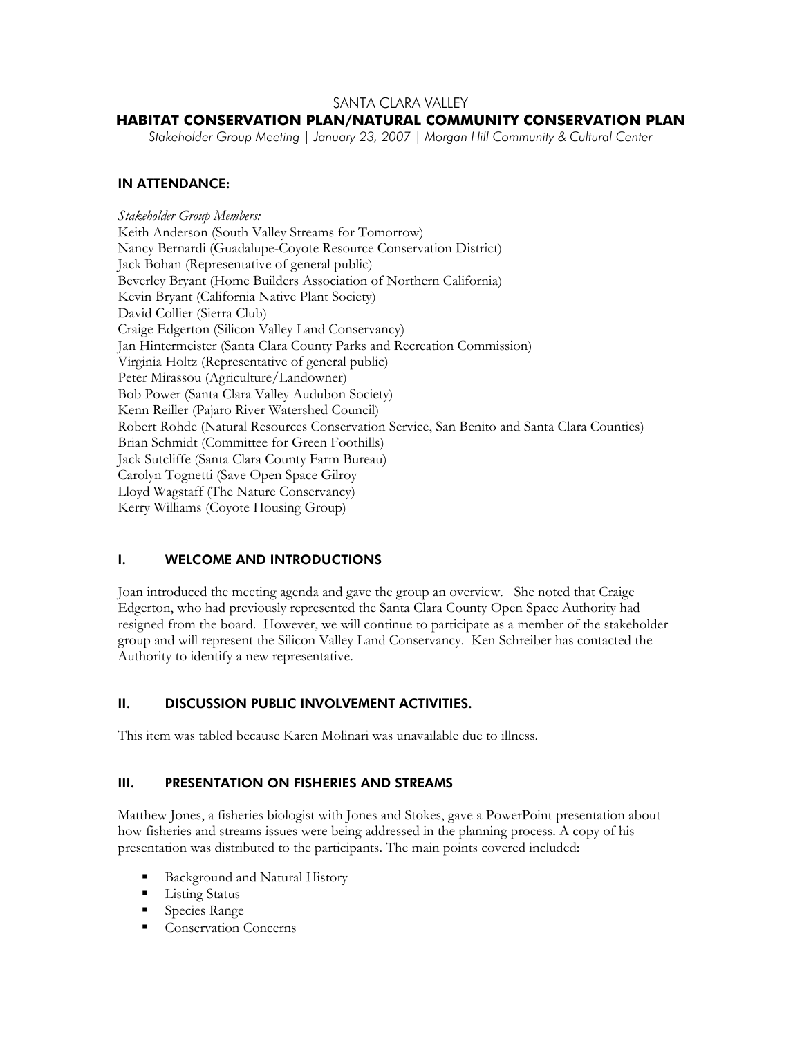## SANTA CLARA VALLEY

## **HABITAT CONSERVATION PLAN/NATURAL COMMUNITY CONSERVATION PLAN**

*Stakeholder Group Meeting | January 23, 2007 | Morgan Hill Community & Cultural Center* 

#### IN ATTENDANCE:

*Stakeholder Group Members:*  Keith Anderson (South Valley Streams for Tomorrow) Nancy Bernardi (Guadalupe-Coyote Resource Conservation District) Jack Bohan (Representative of general public) Beverley Bryant (Home Builders Association of Northern California) Kevin Bryant (California Native Plant Society) David Collier (Sierra Club) Craige Edgerton (Silicon Valley Land Conservancy) Jan Hintermeister (Santa Clara County Parks and Recreation Commission) Virginia Holtz (Representative of general public) Peter Mirassou (Agriculture/Landowner) Bob Power (Santa Clara Valley Audubon Society) Kenn Reiller (Pajaro River Watershed Council) Robert Rohde (Natural Resources Conservation Service, San Benito and Santa Clara Counties) Brian Schmidt (Committee for Green Foothills) Jack Sutcliffe (Santa Clara County Farm Bureau) Carolyn Tognetti (Save Open Space Gilroy Lloyd Wagstaff (The Nature Conservancy) Kerry Williams (Coyote Housing Group)

#### I. WELCOME AND INTRODUCTIONS

Joan introduced the meeting agenda and gave the group an overview. She noted that Craige Edgerton, who had previously represented the Santa Clara County Open Space Authority had resigned from the board. However, we will continue to participate as a member of the stakeholder group and will represent the Silicon Valley Land Conservancy. Ken Schreiber has contacted the Authority to identify a new representative.

## II. DISCUSSION PUBLIC INVOLVEMENT ACTIVITIES.

This item was tabled because Karen Molinari was unavailable due to illness.

#### III. PRESENTATION ON FISHERIES AND STREAMS

Matthew Jones, a fisheries biologist with Jones and Stokes, gave a PowerPoint presentation about how fisheries and streams issues were being addressed in the planning process. A copy of his presentation was distributed to the participants. The main points covered included:

- Background and Natural History
- **Listing Status**
- **Species Range**
- Conservation Concerns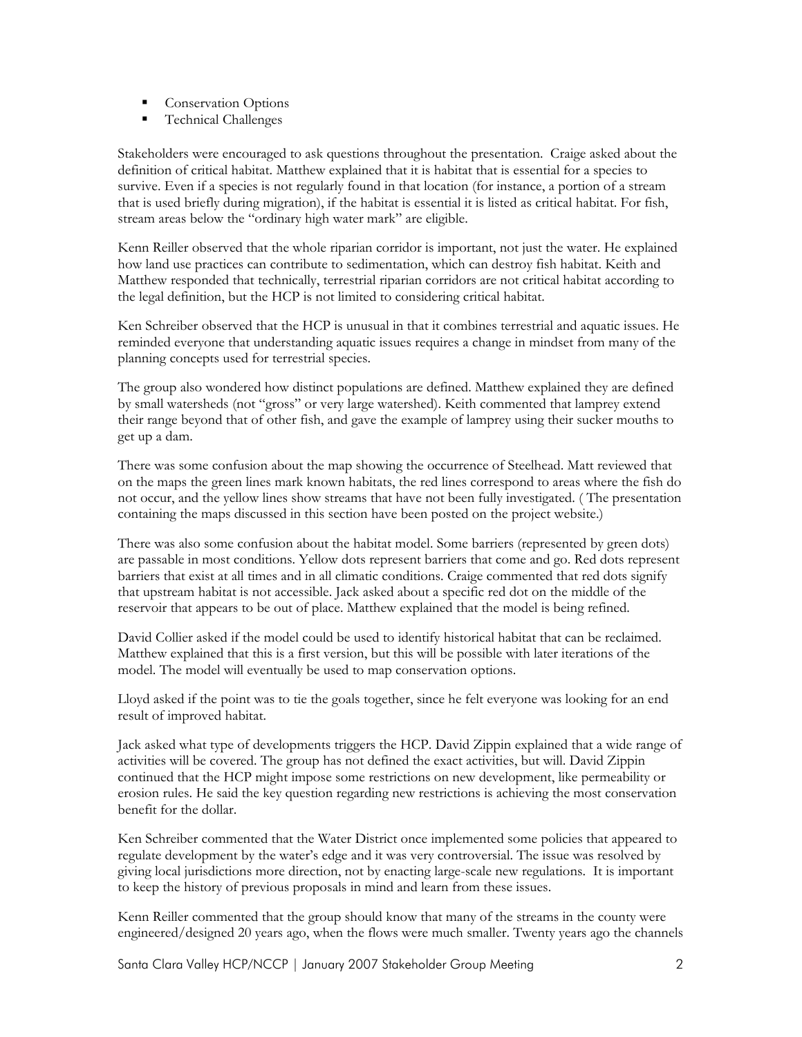- **Conservation Options**
- Technical Challenges

Stakeholders were encouraged to ask questions throughout the presentation. Craige asked about the definition of critical habitat. Matthew explained that it is habitat that is essential for a species to survive. Even if a species is not regularly found in that location (for instance, a portion of a stream that is used briefly during migration), if the habitat is essential it is listed as critical habitat. For fish, stream areas below the "ordinary high water mark" are eligible.

Kenn Reiller observed that the whole riparian corridor is important, not just the water. He explained how land use practices can contribute to sedimentation, which can destroy fish habitat. Keith and Matthew responded that technically, terrestrial riparian corridors are not critical habitat according to the legal definition, but the HCP is not limited to considering critical habitat.

Ken Schreiber observed that the HCP is unusual in that it combines terrestrial and aquatic issues. He reminded everyone that understanding aquatic issues requires a change in mindset from many of the planning concepts used for terrestrial species.

The group also wondered how distinct populations are defined. Matthew explained they are defined by small watersheds (not "gross" or very large watershed). Keith commented that lamprey extend their range beyond that of other fish, and gave the example of lamprey using their sucker mouths to get up a dam.

There was some confusion about the map showing the occurrence of Steelhead. Matt reviewed that on the maps the green lines mark known habitats, the red lines correspond to areas where the fish do not occur, and the yellow lines show streams that have not been fully investigated. ( The presentation containing the maps discussed in this section have been posted on the project website.)

There was also some confusion about the habitat model. Some barriers (represented by green dots) are passable in most conditions. Yellow dots represent barriers that come and go. Red dots represent barriers that exist at all times and in all climatic conditions. Craige commented that red dots signify that upstream habitat is not accessible. Jack asked about a specific red dot on the middle of the reservoir that appears to be out of place. Matthew explained that the model is being refined.

David Collier asked if the model could be used to identify historical habitat that can be reclaimed. Matthew explained that this is a first version, but this will be possible with later iterations of the model. The model will eventually be used to map conservation options.

Lloyd asked if the point was to tie the goals together, since he felt everyone was looking for an end result of improved habitat.

Jack asked what type of developments triggers the HCP. David Zippin explained that a wide range of activities will be covered. The group has not defined the exact activities, but will. David Zippin continued that the HCP might impose some restrictions on new development, like permeability or erosion rules. He said the key question regarding new restrictions is achieving the most conservation benefit for the dollar.

Ken Schreiber commented that the Water District once implemented some policies that appeared to regulate development by the water's edge and it was very controversial. The issue was resolved by giving local jurisdictions more direction, not by enacting large-scale new regulations. It is important to keep the history of previous proposals in mind and learn from these issues.

Kenn Reiller commented that the group should know that many of the streams in the county were engineered/designed 20 years ago, when the flows were much smaller. Twenty years ago the channels

Santa Clara Valley HCP/NCCP | January 2007 Stakeholder Group Meeting 2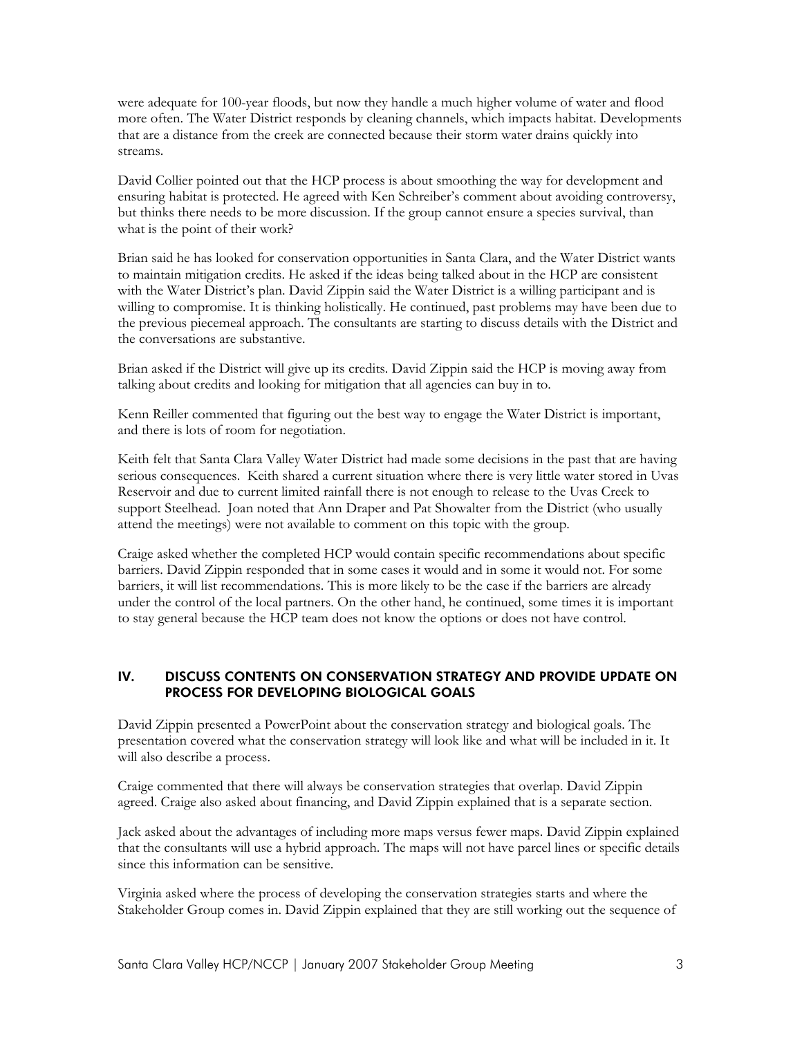were adequate for 100-year floods, but now they handle a much higher volume of water and flood more often. The Water District responds by cleaning channels, which impacts habitat. Developments that are a distance from the creek are connected because their storm water drains quickly into streams.

David Collier pointed out that the HCP process is about smoothing the way for development and ensuring habitat is protected. He agreed with Ken Schreiber's comment about avoiding controversy, but thinks there needs to be more discussion. If the group cannot ensure a species survival, than what is the point of their work?

Brian said he has looked for conservation opportunities in Santa Clara, and the Water District wants to maintain mitigation credits. He asked if the ideas being talked about in the HCP are consistent with the Water District's plan. David Zippin said the Water District is a willing participant and is willing to compromise. It is thinking holistically. He continued, past problems may have been due to the previous piecemeal approach. The consultants are starting to discuss details with the District and the conversations are substantive.

Brian asked if the District will give up its credits. David Zippin said the HCP is moving away from talking about credits and looking for mitigation that all agencies can buy in to.

Kenn Reiller commented that figuring out the best way to engage the Water District is important, and there is lots of room for negotiation.

Keith felt that Santa Clara Valley Water District had made some decisions in the past that are having serious consequences. Keith shared a current situation where there is very little water stored in Uvas Reservoir and due to current limited rainfall there is not enough to release to the Uvas Creek to support Steelhead. Joan noted that Ann Draper and Pat Showalter from the District (who usually attend the meetings) were not available to comment on this topic with the group.

Craige asked whether the completed HCP would contain specific recommendations about specific barriers. David Zippin responded that in some cases it would and in some it would not. For some barriers, it will list recommendations. This is more likely to be the case if the barriers are already under the control of the local partners. On the other hand, he continued, some times it is important to stay general because the HCP team does not know the options or does not have control.

## IV. DISCUSS CONTENTS ON CONSERVATION STRATEGY AND PROVIDE UPDATE ON PROCESS FOR DEVELOPING BIOLOGICAL GOALS

David Zippin presented a PowerPoint about the conservation strategy and biological goals. The presentation covered what the conservation strategy will look like and what will be included in it. It will also describe a process.

Craige commented that there will always be conservation strategies that overlap. David Zippin agreed. Craige also asked about financing, and David Zippin explained that is a separate section.

Jack asked about the advantages of including more maps versus fewer maps. David Zippin explained that the consultants will use a hybrid approach. The maps will not have parcel lines or specific details since this information can be sensitive.

Virginia asked where the process of developing the conservation strategies starts and where the Stakeholder Group comes in. David Zippin explained that they are still working out the sequence of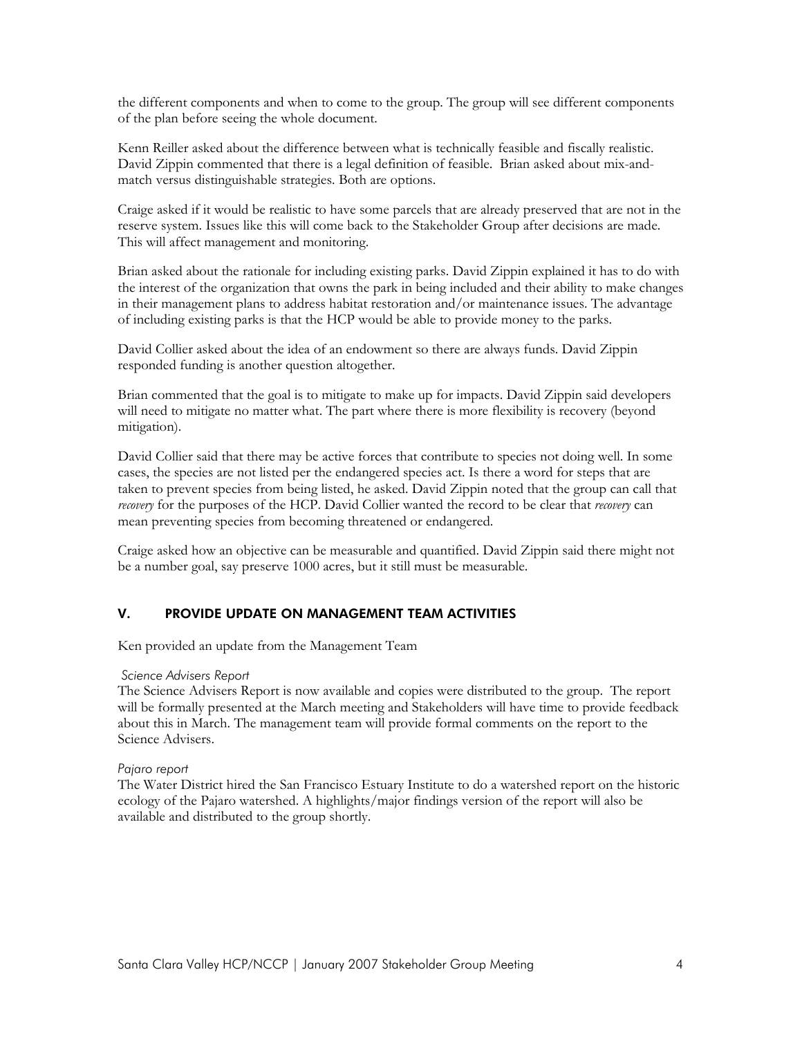the different components and when to come to the group. The group will see different components of the plan before seeing the whole document.

Kenn Reiller asked about the difference between what is technically feasible and fiscally realistic. David Zippin commented that there is a legal definition of feasible. Brian asked about mix-andmatch versus distinguishable strategies. Both are options.

Craige asked if it would be realistic to have some parcels that are already preserved that are not in the reserve system. Issues like this will come back to the Stakeholder Group after decisions are made. This will affect management and monitoring.

Brian asked about the rationale for including existing parks. David Zippin explained it has to do with the interest of the organization that owns the park in being included and their ability to make changes in their management plans to address habitat restoration and/or maintenance issues. The advantage of including existing parks is that the HCP would be able to provide money to the parks.

David Collier asked about the idea of an endowment so there are always funds. David Zippin responded funding is another question altogether.

Brian commented that the goal is to mitigate to make up for impacts. David Zippin said developers will need to mitigate no matter what. The part where there is more flexibility is recovery (beyond mitigation).

David Collier said that there may be active forces that contribute to species not doing well. In some cases, the species are not listed per the endangered species act. Is there a word for steps that are taken to prevent species from being listed, he asked. David Zippin noted that the group can call that *recovery* for the purposes of the HCP. David Collier wanted the record to be clear that *recovery* can mean preventing species from becoming threatened or endangered.

Craige asked how an objective can be measurable and quantified. David Zippin said there might not be a number goal, say preserve 1000 acres, but it still must be measurable.

## V. PROVIDE UPDATE ON MANAGEMENT TEAM ACTIVITIES

Ken provided an update from the Management Team

#### *Science Advisers Report*

The Science Advisers Report is now available and copies were distributed to the group. The report will be formally presented at the March meeting and Stakeholders will have time to provide feedback about this in March. The management team will provide formal comments on the report to the Science Advisers.

#### *Pajaro report*

The Water District hired the San Francisco Estuary Institute to do a watershed report on the historic ecology of the Pajaro watershed. A highlights/major findings version of the report will also be available and distributed to the group shortly.